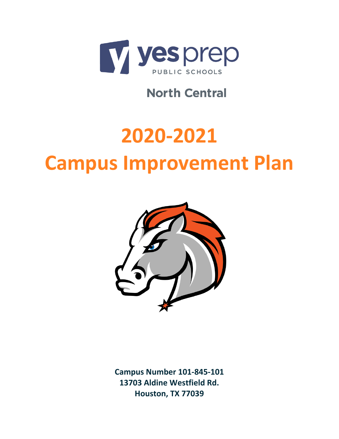

**North Central** 

# **2020-2021 Campus Improvement Plan**



**Campus Number 101-845-101 13703 Aldine Westfield Rd. Houston, TX 77039**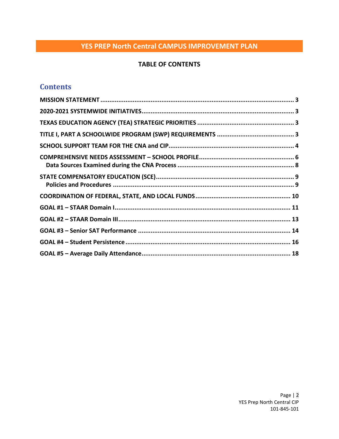## **TABLE OF CONTENTS**

# **Contents**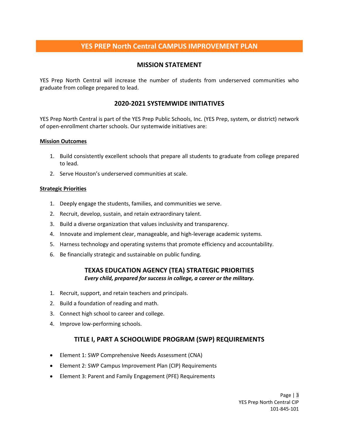## **MISSION STATEMENT**

<span id="page-2-0"></span>YES Prep North Central will increase the number of students from underserved communities who graduate from college prepared to lead.

## **2020-2021 SYSTEMWIDE INITIATIVES**

<span id="page-2-1"></span>YES Prep North Central is part of the YES Prep Public Schools, Inc. (YES Prep, system, or district) network of open-enrollment charter schools. Our systemwide initiatives are:

#### **Mission Outcomes**

- 1. Build consistently excellent schools that prepare all students to graduate from college prepared to lead.
- 2. Serve Houston's underserved communities at scale.

#### **Strategic Priorities**

- 1. Deeply engage the students, families, and communities we serve.
- 2. Recruit, develop, sustain, and retain extraordinary talent.
- 3. Build a diverse organization that values inclusivity and transparency.
- 4. Innovate and implement clear, manageable, and high-leverage academic systems.
- 5. Harness technology and operating systems that promote efficiency and accountability.
- <span id="page-2-2"></span>6. Be financially strategic and sustainable on public funding.

#### **TEXAS EDUCATION AGENCY (TEA) STRATEGIC PRIORITIES** *Every child, prepared for success in college, a career or the military.*

- 1. Recruit, support, and retain teachers and principals.
- 2. Build a foundation of reading and math.
- 3. Connect high school to career and college.
- <span id="page-2-3"></span>4. Improve low-performing schools.

## **TITLE I, PART A SCHOOLWIDE PROGRAM (SWP) REQUIREMENTS**

- Element 1: SWP Comprehensive Needs Assessment (CNA)
- Element 2: SWP Campus Improvement Plan (CIP) Requirements
- Element 3: Parent and Family Engagement (PFE) Requirements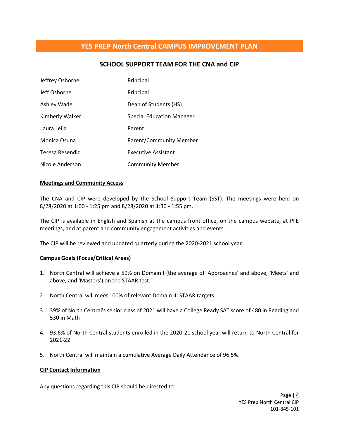## **SCHOOL SUPPORT TEAM FOR THE CNA and CIP**

<span id="page-3-0"></span>

| Jeffrey Osborne | Principal                        |
|-----------------|----------------------------------|
| Jeff Osborne    | Principal                        |
| Ashley Wade     | Dean of Students (HS)            |
| Kimberly Walker | <b>Special Education Manager</b> |
| Laura Leija     | Parent                           |
| Monica Osuna    | Parent/Community Member          |
| Teresa Resendiz | <b>Executive Assistant</b>       |
| Nicole Anderson | <b>Community Member</b>          |

#### **Meetings and Community Access**

The CNA and CIP were developed by the School Support Team (SST). The meetings were held on 8/28/2020 at 1:00 - 1:25 pm and 8/28/2020 at 1:30 - 1:55 pm.

The CIP is available in English and Spanish at the campus front office, on the campus website, at PFE meetings, and at parent and community engagement activities and events.

The CIP will be reviewed and updated quarterly during the 2020-2021 school year.

#### **Campus Goals (Focus/Critical Areas)**

- 1. North Central will achieve a 59% on Domain I (the average of 'Approaches' and above, 'Meets' and above, and 'Masters') on the STAAR test.
- 2. North Central will meet 100% of relevant Domain III STAAR targets.
- 3. 39% of North Central's senior class of 2021 will have a College Ready SAT score of 480 in Reading and 530 in Math
- 4. 93.6% of North Central students enrolled in the 2020-21 school year will return to North Central for 2021-22.
- 5. North Central will maintain a cumulative Average Daily Attendance of 96.5%.

#### **CIP Contact Information**

Any questions regarding this CIP should be directed to: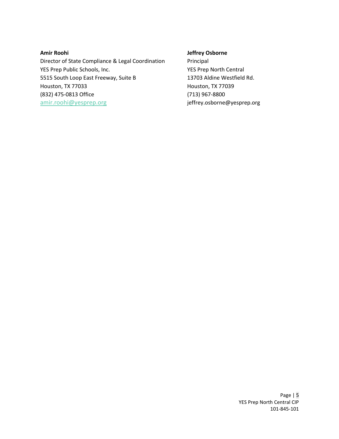#### **Amir Roohi**

Director of State Compliance & Legal Coordination YES Prep Public Schools, Inc. 5515 South Loop East Freeway, Suite B Houston, TX 77033 (832) 475-0813 Office [amir.roohi@yesprep.org](mailto:amir.roohi@yesprep.org)

#### **Jeffrey Osborne**

Principal YES Prep North Central 13703 Aldine Westfield Rd. Houston, TX 77039 (713) 967-8800 jeffrey.osborne@yesprep.org

> Page | 5 YES Prep North Central CIP 101-845-101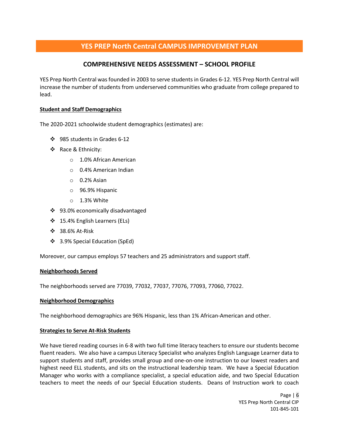## **COMPREHENSIVE NEEDS ASSESSMENT – SCHOOL PROFILE**

<span id="page-5-0"></span>YES Prep North Central was founded in 2003 to serve students in Grades 6-12. YES Prep North Central will increase the number of students from underserved communities who graduate from college prepared to lead.

#### **Student and Staff Demographics**

The 2020-2021 schoolwide student demographics (estimates) are:

- ❖ 985 students in Grades 6-12
- ❖ Race & Ethnicity:
	- o 1.0% African American
	- o 0.4% American Indian
	- o 0.2% Asian
	- o 96.9% Hispanic
	- o 1.3% White
- ❖ 93.0% economically disadvantaged
- ❖ 15.4% English Learners (ELs)
- ❖ 38.6% At-Risk
- ❖ 3.9% Special Education (SpEd)

Moreover, our campus employs 57 teachers and 25 administrators and support staff.

#### **Neighborhoods Served**

The neighborhoods served are 77039, 77032, 77037, 77076, 77093, 77060, 77022.

#### **Neighborhood Demographics**

The neighborhood demographics are 96% Hispanic, less than 1% African-American and other.

#### **Strategies to Serve At-Risk Students**

We have tiered reading courses in 6-8 with two full time literacy teachers to ensure our students become fluent readers. We also have a campus Literacy Specialist who analyzes English Language Learner data to support students and staff, provides small group and one-on-one instruction to our lowest readers and highest need ELL students, and sits on the instructional leadership team. We have a Special Education Manager who works with a compliance specialist, a special education aide, and two Special Education teachers to meet the needs of our Special Education students. Deans of Instruction work to coach

> Page | 6 YES Prep North Central CIP 101-845-101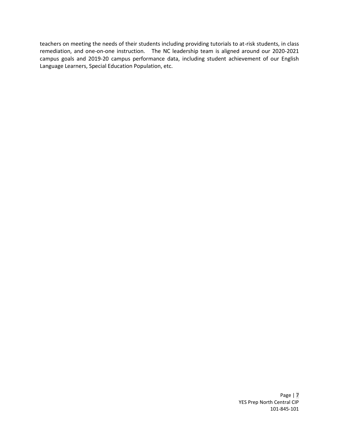teachers on meeting the needs of their students including providing tutorials to at-risk students, in class remediation, and one-on-one instruction. The NC leadership team is aligned around our 2020-2021 campus goals and 2019-20 campus performance data, including student achievement of our English Language Learners, Special Education Population, etc.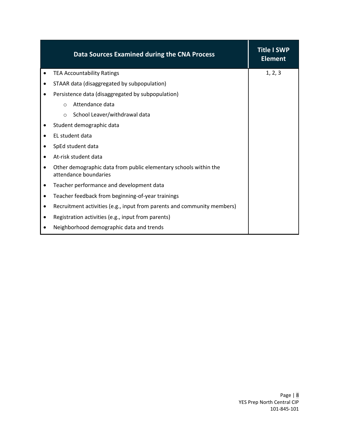<span id="page-7-0"></span>

| Data Sources Examined during the CNA Process                                                           | <b>Title I SWP</b><br><b>Element</b> |
|--------------------------------------------------------------------------------------------------------|--------------------------------------|
| <b>TEA Accountability Ratings</b><br>$\bullet$                                                         | 1, 2, 3                              |
| STAAR data (disaggregated by subpopulation)<br>$\bullet$                                               |                                      |
| Persistence data (disaggregated by subpopulation)                                                      |                                      |
| Attendance data<br>$\circ$                                                                             |                                      |
| School Leaver/withdrawal data<br>$\circ$                                                               |                                      |
| Student demographic data                                                                               |                                      |
| EL student data<br>$\bullet$                                                                           |                                      |
| SpEd student data<br>$\bullet$                                                                         |                                      |
| At-risk student data<br>$\bullet$                                                                      |                                      |
| Other demographic data from public elementary schools within the<br>$\bullet$<br>attendance boundaries |                                      |
| Teacher performance and development data<br>$\bullet$                                                  |                                      |
| Teacher feedback from beginning-of-year trainings<br>$\bullet$                                         |                                      |
| Recruitment activities (e.g., input from parents and community members)<br>$\bullet$                   |                                      |
| Registration activities (e.g., input from parents)<br>٠                                                |                                      |
| Neighborhood demographic data and trends                                                               |                                      |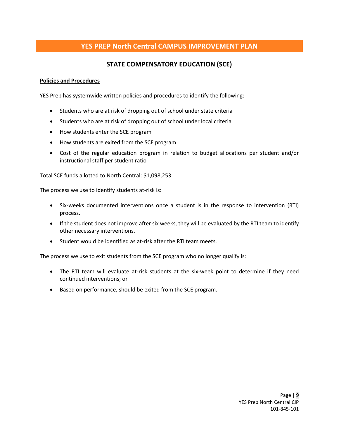## **STATE COMPENSATORY EDUCATION (SCE)**

#### <span id="page-8-1"></span><span id="page-8-0"></span>**Policies and Procedures**

YES Prep has systemwide written policies and procedures to identify the following:

- Students who are at risk of dropping out of school under state criteria
- Students who are at risk of dropping out of school under local criteria
- How students enter the SCE program
- How students are exited from the SCE program
- Cost of the regular education program in relation to budget allocations per student and/or instructional staff per student ratio

Total SCE funds allotted to North Central: \$1,098,253

The process we use to identify students at-risk is:

- Six-weeks documented interventions once a student is in the response to intervention (RTI) process.
- If the student does not improve after six weeks, they will be evaluated by the RTI team to identify other necessary interventions.
- Student would be identified as at-risk after the RTI team meets.

The process we use to exit students from the SCE program who no longer qualify is:

- The RTI team will evaluate at-risk students at the six-week point to determine if they need continued interventions; or
- Based on performance, should be exited from the SCE program.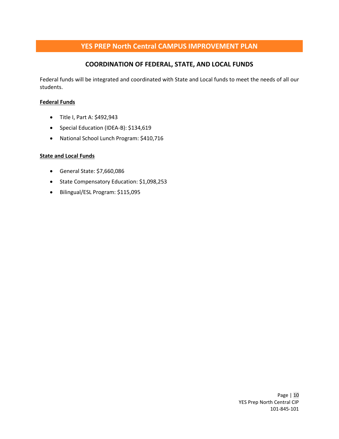## **COORDINATION OF FEDERAL, STATE, AND LOCAL FUNDS**

<span id="page-9-0"></span>Federal funds will be integrated and coordinated with State and Local funds to meet the needs of all our students.

#### **Federal Funds**

- Title I, Part A: \$492,943
- Special Education (IDEA-B): \$134,619
- National School Lunch Program: \$410,716

#### **State and Local Funds**

- General State: \$7,660,086
- State Compensatory Education: \$1,098,253
- Bilingual/ESL Program: \$115,095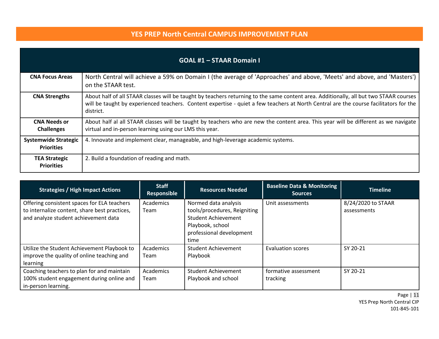|                                                  | <b>GOAL #1 - STAAR Domain I</b>                                                                                                                                                                                                                                                              |
|--------------------------------------------------|----------------------------------------------------------------------------------------------------------------------------------------------------------------------------------------------------------------------------------------------------------------------------------------------|
| <b>CNA Focus Areas</b>                           | North Central will achieve a 59% on Domain I (the average of 'Approaches' and above, 'Meets' and above, and 'Masters')<br>on the STAAR test.                                                                                                                                                 |
| <b>CNA Strengths</b>                             | About half of all STAAR classes will be taught by teachers returning to the same content area. Additionally, all but two STAAR courses<br>will be taught by experienced teachers. Content expertise - quiet a few teachers at North Central are the course facilitators for the<br>district. |
| <b>CNA Needs or</b><br><b>Challenges</b>         | About half al all STAAR classes will be taught by teachers who are new the content area. This year will be different as we navigate<br>virtual and in-person learning using our LMS this year.                                                                                               |
| <b>Systemwide Strategic</b><br><b>Priorities</b> | 4. Innovate and implement clear, manageable, and high-leverage academic systems.                                                                                                                                                                                                             |
| <b>TEA Strategic</b><br><b>Priorities</b>        | 2. Build a foundation of reading and math.                                                                                                                                                                                                                                                   |

<span id="page-10-0"></span>

| <b>Strategies / High Impact Actions</b>                                                                                              | <b>Staff</b><br>Responsible | <b>Resources Needed</b>                                                                                                                    | <b>Baseline Data &amp; Monitoring</b><br><b>Sources</b> | <b>Timeline</b>                   |
|--------------------------------------------------------------------------------------------------------------------------------------|-----------------------------|--------------------------------------------------------------------------------------------------------------------------------------------|---------------------------------------------------------|-----------------------------------|
| Offering consistent spaces for ELA teachers<br>to internalize content, share best practices,<br>and analyze student achievement data | Academics<br>Team           | Normed data analysis<br>tools/procedures, Reigniting<br><b>Student Achievement</b><br>Playbook, school<br>professional development<br>time | Unit assessments                                        | 8/24/2020 to STAAR<br>assessments |
| Utilize the Student Achievement Playbook to<br>improve the quality of online teaching and<br>learning                                | Academics<br>Team           | Student Achievement<br>Playbook                                                                                                            | <b>Evaluation scores</b>                                | SY 20-21                          |
| Coaching teachers to plan for and maintain<br>100% student engagement during online and<br>in-person learning.                       | Academics<br>Team           | <b>Student Achievement</b><br>Playbook and school                                                                                          | formative assessment<br>tracking                        | SY 20-21                          |

Page | 11 YES Prep North Central CIP 101-845-101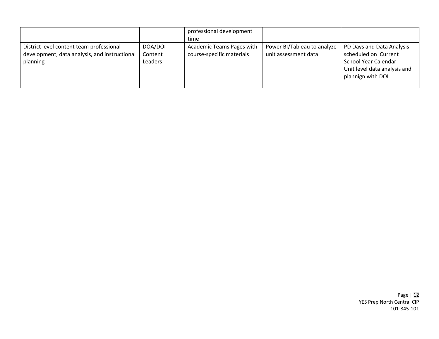|                                                                                                       |                               | professional development<br>time                       |                                                     |                                                                                                                                |
|-------------------------------------------------------------------------------------------------------|-------------------------------|--------------------------------------------------------|-----------------------------------------------------|--------------------------------------------------------------------------------------------------------------------------------|
| District level content team professional<br>development, data analysis, and instructional<br>planning | DOA/DOI<br>Content<br>Leaders | Academic Teams Pages with<br>course-specific materials | Power BI/Tableau to analyze<br>unit assessment data | PD Days and Data Analysis<br>scheduled on Current<br>School Year Calendar<br>Unit level data analysis and<br>plannign with DOI |

Page | 12 YES Prep North Central CIP 101-845-101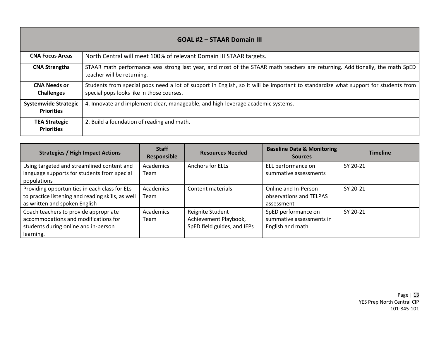| <b>GOAL #2 - STAAR Domain III</b>                |                                                                                                                                                                                 |  |  |
|--------------------------------------------------|---------------------------------------------------------------------------------------------------------------------------------------------------------------------------------|--|--|
| <b>CNA Focus Areas</b>                           | North Central will meet 100% of relevant Domain III STAAR targets.                                                                                                              |  |  |
| <b>CNA Strengths</b>                             | STAAR math performance was strong last year, and most of the STAAR math teachers are returning. Additionally, the math SpED<br>teacher will be returning.                       |  |  |
| <b>CNA Needs or</b><br><b>Challenges</b>         | Students from special pops need a lot of support in English, so it will be important to standardize what support for students from<br>special pops looks like in those courses. |  |  |
| <b>Systemwide Strategic</b><br><b>Priorities</b> | 4. Innovate and implement clear, manageable, and high-leverage academic systems.                                                                                                |  |  |
| <b>TEA Strategic</b><br><b>Priorities</b>        | 2. Build a foundation of reading and math.                                                                                                                                      |  |  |

<span id="page-12-0"></span>

| <b>Strategies / High Impact Actions</b>                                                                                             | <b>Staff</b><br>Responsible | <b>Resources Needed</b>                                                  | <b>Baseline Data &amp; Monitoring</b><br><b>Sources</b>             | <b>Timeline</b> |
|-------------------------------------------------------------------------------------------------------------------------------------|-----------------------------|--------------------------------------------------------------------------|---------------------------------------------------------------------|-----------------|
| Using targeted and streamlined content and<br>language supports for students from special<br>populations                            | Academics<br>Team           | <b>Anchors for ELLs</b>                                                  | ELL performance on<br>summative assessments                         | SY 20-21        |
| Providing opportunities in each class for ELs<br>to practice listening and reading skills, as well<br>as written and spoken English | Academics<br>Team           | Content materials                                                        | Online and In-Person<br>observations and TELPAS<br>assessment       | SY 20-21        |
| Coach teachers to provide appropriate<br>accommodations and modifications for<br>students during online and in-person<br>learning.  | Academics<br>Team           | Reignite Student<br>Achievement Playbook,<br>SpED field guides, and IEPs | SpED performance on<br>summative assessments in<br>English and math | SY 20-21        |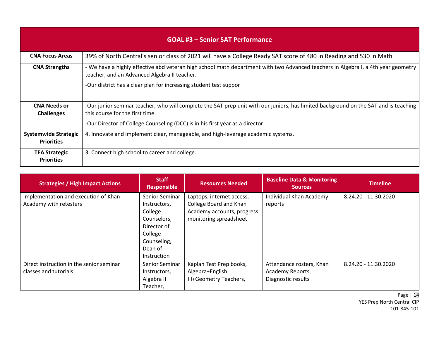|                                                  | <b>GOAL #3 - Senior SAT Performance</b>                                                                                                                                           |
|--------------------------------------------------|-----------------------------------------------------------------------------------------------------------------------------------------------------------------------------------|
| <b>CNA Focus Areas</b>                           | 39% of North Central's senior class of 2021 will have a College Ready SAT score of 480 in Reading and 530 in Math                                                                 |
| <b>CNA Strengths</b>                             | - We have a highly effective abd veteran high school math department with two Advanced teachers in Algebra I, a 4th year geometry<br>teacher, and an Advanced Algebra II teacher. |
|                                                  | -Our district has a clear plan for increasing student test suppor                                                                                                                 |
| <b>CNA Needs or</b><br><b>Challenges</b>         | -Our junior seminar teacher, who will complete the SAT prep unit with our juniors, has limited background on the SAT and is teaching<br>this course for the first time.           |
|                                                  | -Our Director of College Counseling (DCC) is in his first year as a director.                                                                                                     |
| <b>Systemwide Strategic</b><br><b>Priorities</b> | 4. Innovate and implement clear, manageable, and high-leverage academic systems.                                                                                                  |
| <b>TEA Strategic</b><br><b>Priorities</b>        | 3. Connect high school to career and college.                                                                                                                                     |

<span id="page-13-0"></span>

| <b>Strategies / High Impact Actions</b>                           | <b>Staff</b><br><b>Responsible</b>                                                                                                 | <b>Resources Needed</b>                                                                                     | <b>Baseline Data &amp; Monitoring</b><br><b>Sources</b>            | <b>Timeline</b>      |
|-------------------------------------------------------------------|------------------------------------------------------------------------------------------------------------------------------------|-------------------------------------------------------------------------------------------------------------|--------------------------------------------------------------------|----------------------|
| Implementation and execution of Khan<br>Academy with retesters    | Senior Seminar<br>Instructors,<br>College<br>Counselors,<br>Director of<br>College<br>Counseling,<br>Dean of<br><b>Instruction</b> | Laptops, internet access,<br>College Board and Khan<br>Academy accounts, progress<br>monitoring spreadsheet | Individual Khan Academy<br>reports                                 | 8.24.20 - 11.30.2020 |
| Direct instruction in the senior seminar<br>classes and tutorials | Senior Seminar<br>Instructors,<br>Algebra II<br>Teacher,                                                                           | Kaplan Test Prep books,<br>Algebra+English<br>III+Geometry Teachers,                                        | Attendance rosters, Khan<br>Academy Reports,<br>Diagnostic results | 8.24.20 - 11.30.2020 |

Page | 14 YES Prep North Central CIP 101-845-101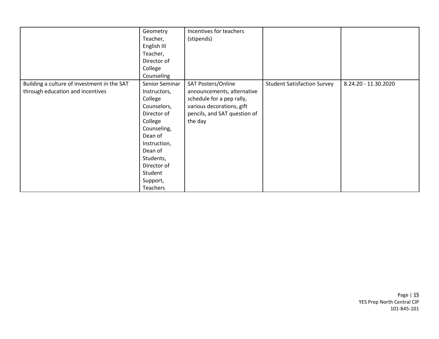|                                                                                 | Geometry<br>Teacher,<br>English III<br>Teacher,<br>Director of<br>College<br>Counseling                                                                                                                       | Incentives for teachers<br>(stipends)                                                                                                                 |                                    |                      |
|---------------------------------------------------------------------------------|---------------------------------------------------------------------------------------------------------------------------------------------------------------------------------------------------------------|-------------------------------------------------------------------------------------------------------------------------------------------------------|------------------------------------|----------------------|
| Building a culture of investment in the SAT<br>through education and incentives | Senior Seminar<br>Instructors,<br>College<br>Counselors,<br>Director of<br>College<br>Counseling,<br>Dean of<br>Instruction,<br>Dean of<br>Students,<br>Director of<br>Student<br>Support,<br><b>Teachers</b> | SAT Posters/Online<br>announcements, alternative<br>schedule for a pep rally,<br>various decorations, gift<br>pencils, and SAT question of<br>the day | <b>Student Satisfaction Survey</b> | 8.24.20 - 11.30.2020 |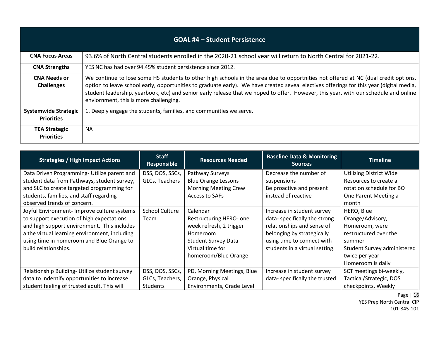| <b>GOAL #4 - Student Persistence</b>             |                                                                                                                                                                                                                                                                                                                                                                                                                                                                  |  |  |
|--------------------------------------------------|------------------------------------------------------------------------------------------------------------------------------------------------------------------------------------------------------------------------------------------------------------------------------------------------------------------------------------------------------------------------------------------------------------------------------------------------------------------|--|--|
| <b>CNA Focus Areas</b>                           | 93.6% of North Central students enrolled in the 2020-21 school year will return to North Central for 2021-22.                                                                                                                                                                                                                                                                                                                                                    |  |  |
| <b>CNA Strengths</b>                             | YES NC has had over 94.45% student persistence since 2012.                                                                                                                                                                                                                                                                                                                                                                                                       |  |  |
| <b>CNA Needs or</b><br><b>Challenges</b>         | We continue to lose some HS students to other high schools in the area due to opportnities not offered at NC (dual credit options,<br>option to leave school early, opportunities to graduate early). We have created seveal electives offerings for this year (digital media,<br>student leadership, yearbook, etc) and senior early release that we hoped to offer. However, this year, with our schedule and online<br>enviornment, this is more challenging. |  |  |
| <b>Systemwide Strategic</b><br><b>Priorities</b> | 1. Deeply engage the students, families, and communities we serve.                                                                                                                                                                                                                                                                                                                                                                                               |  |  |
| <b>TEA Strategic</b><br><b>Priorities</b>        | <b>NA</b>                                                                                                                                                                                                                                                                                                                                                                                                                                                        |  |  |

<span id="page-15-0"></span>

| <b>Strategies / High Impact Actions</b>       | <b>Staff</b><br><b>Responsible</b> | <b>Resources Needed</b>     | <b>Baseline Data &amp; Monitoring</b><br><b>Sources</b> | <b>Timeline</b>             |
|-----------------------------------------------|------------------------------------|-----------------------------|---------------------------------------------------------|-----------------------------|
| Data Driven Programming- Utilize parent and   | DSS, DOS, SSCs,                    | Pathway Surveys             | Decrease the number of                                  | Utilizing District Wide     |
| student data from Pathways, student survey,   | GLCs, Teachers                     | <b>Blue Orange Lessons</b>  | suspensions                                             | Resources to create a       |
| and SLC to create targeted programming for    |                                    | <b>Morning Meeting Crew</b> | Be proactive and present                                | rotation schedule for BO    |
| students, families, and staff regarding       |                                    | Access to SAFs              | instead of reactive                                     | One Parent Meeting a        |
| observed trends of concern.                   |                                    |                             |                                                         | month                       |
| Joyful Environment- Improve culture systems   | <b>School Culture</b>              | Calendar                    | Increase in student survey                              | HERO, Blue                  |
| to support execution of high expectations     | Team                               | Restructuring HERO- one     | data-specifically the strong                            | Orange/Advisory,            |
| and high support environment. This includes   |                                    | week refresh, 2 trigger     | relationships and sense of                              | Homeroom, were              |
| a the virtual learning environment, including |                                    | Homeroom                    | belonging by strategically                              | restructured over the       |
| using time in homeroom and Blue Orange to     |                                    | <b>Student Survey Data</b>  | using time to connect with                              | summer                      |
| build relationships.                          |                                    | Virtual time for            | students in a virtual setting.                          | Student Survey administered |
|                                               |                                    | homeroom/Blue Orange        |                                                         | twice per year              |
|                                               |                                    |                             |                                                         | Homeroom is daily           |
| Relationship Building- Utilize student survey | DSS, DOS, SSCs,                    | PD, Morning Meetings, Blue  | Increase in student survey                              | SCT meetings bi-weekly,     |
| data to indentify opportunities to increase   | GLCs, Teachers,                    | Orange, Physical            | data-specifically the trusted                           | Tactical/Strategic, DOS     |
| student feeling of trusted adult. This will   | Students                           | Environments, Grade Level   |                                                         | checkpoints, Weekly         |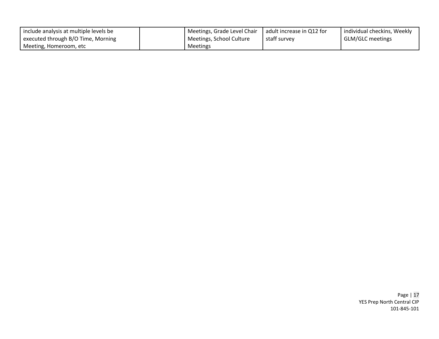| include analysis at multiple levels be | Meetings, Grade Level Chair   adult increase in Q12 for |              | individual checkins, Weekly |
|----------------------------------------|---------------------------------------------------------|--------------|-----------------------------|
| executed through B/O Time, Morning     | Meetings, School Culture                                | staff survey | <b>GLM/GLC</b> meetings     |
| Meeting, Homeroom, etc                 | Meetings                                                |              |                             |

Page | 17 YES Prep North Central CIP 101-845-101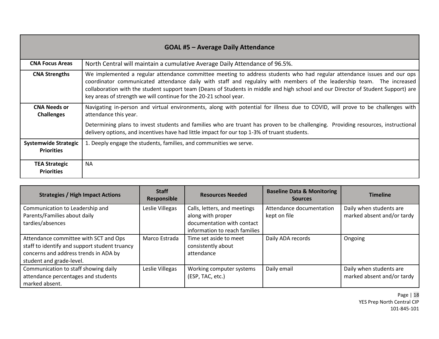| <b>GOAL #5 - Average Daily Attendance</b>        |                                                                                                                                                                                                                                                                                                                                                                                                                                                            |  |  |  |  |  |
|--------------------------------------------------|------------------------------------------------------------------------------------------------------------------------------------------------------------------------------------------------------------------------------------------------------------------------------------------------------------------------------------------------------------------------------------------------------------------------------------------------------------|--|--|--|--|--|
| <b>CNA Focus Areas</b>                           | North Central will maintain a cumulative Average Daily Attendance of 96.5%.                                                                                                                                                                                                                                                                                                                                                                                |  |  |  |  |  |
| <b>CNA Strengths</b>                             | We implemented a regular attendance committee meeting to address students who had regular attendance issues and our ops<br>coordinator communicated attendance daily with staff and regulalry with members of the leadership team. The increased<br>collaboration with the student support team (Deans of Students in middle and high school and our Director of Student Support) are<br>key areas of strength we will continue for the 20-21 school year. |  |  |  |  |  |
| <b>CNA Needs or</b><br><b>Challenges</b>         | Navigating in-person and virtual environments, along with potential for illness due to COVID, will prove to be challenges with<br>attendance this year.                                                                                                                                                                                                                                                                                                    |  |  |  |  |  |
|                                                  | Determining plans to invest students and families who are truant has proven to be challenging.<br>Providing resources, instructional<br>delivery options, and incentives have had little impact for our top 1-3% of truant students.                                                                                                                                                                                                                       |  |  |  |  |  |
| <b>Systemwide Strategic</b><br><b>Priorities</b> | 1. Deeply engage the students, families, and communities we serve.                                                                                                                                                                                                                                                                                                                                                                                         |  |  |  |  |  |
| <b>TEA Strategic</b><br><b>Priorities</b>        | NA.                                                                                                                                                                                                                                                                                                                                                                                                                                                        |  |  |  |  |  |

<span id="page-17-0"></span>

| <b>Strategies / High Impact Actions</b>                                                                                                                     | <b>Staff</b><br><b>Responsible</b> | <b>Resources Needed</b>                                                                                          | <b>Baseline Data &amp; Monitoring</b><br><b>Sources</b> | <b>Timeline</b>                                       |
|-------------------------------------------------------------------------------------------------------------------------------------------------------------|------------------------------------|------------------------------------------------------------------------------------------------------------------|---------------------------------------------------------|-------------------------------------------------------|
| Communication to Leadership and<br>Parents/Families about daily<br>tardies/absences                                                                         | Leslie Villegas                    | Calls, letters, and meetings<br>along with proper<br>documentation with contact<br>information to reach families | Attendance documentation<br>kept on file                | Daily when students are<br>marked absent and/or tardy |
| Attendance committee with SCT and Ops<br>staff to identify and support student truancy<br>concerns and address trends in ADA by<br>student and grade-level. | Marco Estrada                      | Time set aside to meet<br>consistently about<br>attendance                                                       | Daily ADA records                                       | Ongoing                                               |
| Communication to staff showing daily<br>attendance percentages and students<br>marked absent.                                                               | Leslie Villegas                    | Working computer systems<br>(ESP, TAC, etc.)                                                                     | Daily email                                             | Daily when students are<br>marked absent and/or tardy |